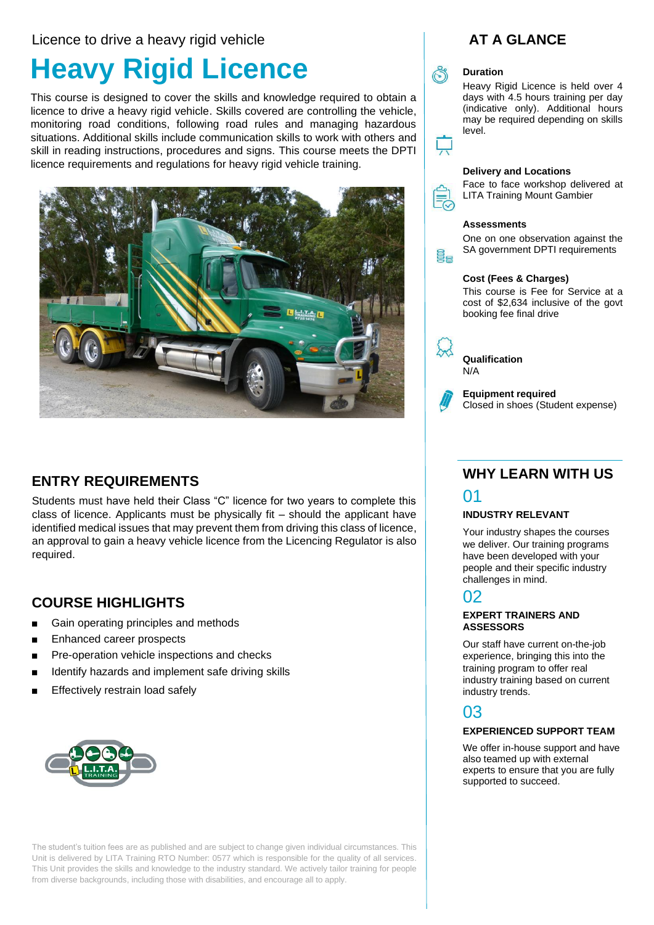### Licence to drive a heavy rigid vehicle

# **Heavy Rigid Licence**

This course is designed to cover the skills and knowledge required to obtain a licence to drive a heavy rigid vehicle. Skills covered are controlling the vehicle, monitoring road conditions, following road rules and managing hazardous situations. Additional skills include communication skills to work with others and skill in reading instructions, procedures and signs. This course meets the DPTI licence requirements and regulations for heavy rigid vehicle training.



# **ENTRY REQUIREMENTS**

Students must have held their Class "C" licence for two years to complete this class of licence. Applicants must be physically fit – should the applicant have identified medical issues that may prevent them from driving this class of licence, an approval to gain a heavy vehicle licence from the Licencing Regulator is also required.

# **COURSE HIGHLIGHTS**

- Gain operating principles and methods
- Enhanced career prospects
- Pre-operation vehicle inspections and checks
- Identify hazards and implement safe driving skills
- Effectively restrain load safely



The student's tuition fees are as published and are subject to change given individual circumstances. This Unit is delivered by LITA Training RTO Number: 0577 which is responsible for the quality of all services. This Unit provides the skills and knowledge to the industry standard. We actively tailor training for people from diverse backgrounds, including those with disabilities, and encourage all to apply.

# **AT A GLANCE**

# **Duration**

Heavy Rigid Licence is held over 4 days with 4.5 hours training per day (indicative only). Additional hours may be required depending on skills level.

#### **Delivery and Locations**

Face to face workshop delivered at LITA Training Mount Gambier

#### **Assessments**

ëe

One on one observation against the SA government DPTI requirements

#### **Cost (Fees & Charges)**

This course is Fee for Service at a cost of \$2,634 inclusive of the govt booking fee final drive



**Qualification** N/A



**Equipment required**  Closed in shoes (Student expense)

# **WHY LEARN WITH US**

### 01

### **INDUSTRY RELEVANT**

Your industry shapes the courses we deliver. Our training programs have been developed with your people and their specific industry challenges in mind.

# 02

### **EXPERT TRAINERS AND ASSESSORS**

Our staff have current on-the-job experience, bringing this into the training program to offer real industry training based on current industry trends.

# 03

### **EXPERIENCED SUPPORT TEAM**

We offer in-house support and have also teamed up with external experts to ensure that you are fully supported to succeed.